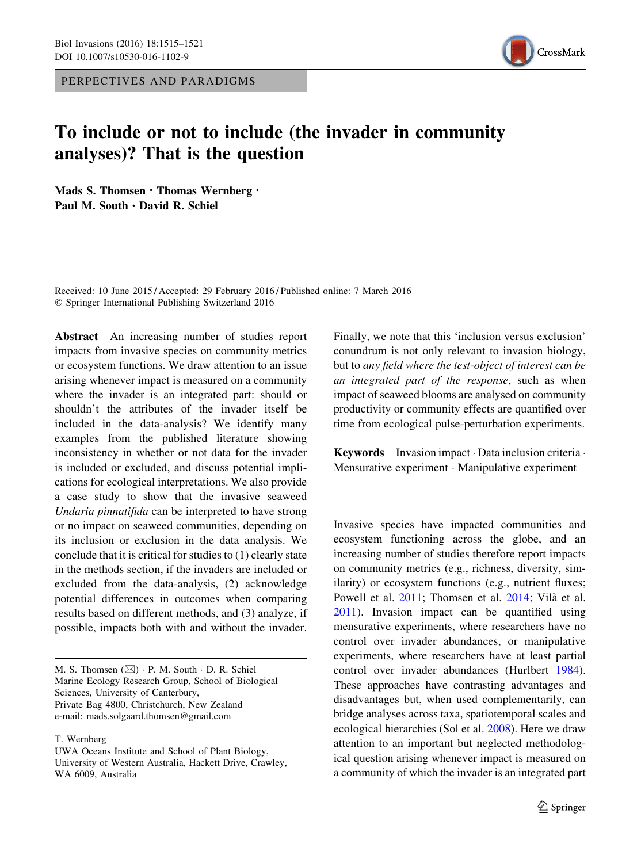PERPECTIVES AND PARADIGMS



## To include or not to include (the invader in community analyses)? That is the question

Mads S. Thomsen  $\cdot$  Thomas Wernberg  $\cdot$ Paul M. South · David R. Schiel

Received: 10 June 2015 / Accepted: 29 February 2016 / Published online: 7 March 2016 - Springer International Publishing Switzerland 2016

Abstract An increasing number of studies report impacts from invasive species on community metrics or ecosystem functions. We draw attention to an issue arising whenever impact is measured on a community where the invader is an integrated part: should or shouldn't the attributes of the invader itself be included in the data-analysis? We identify many examples from the published literature showing inconsistency in whether or not data for the invader is included or excluded, and discuss potential implications for ecological interpretations. We also provide a case study to show that the invasive seaweed Undaria pinnatifida can be interpreted to have strong or no impact on seaweed communities, depending on its inclusion or exclusion in the data analysis. We conclude that it is critical for studies to (1) clearly state in the methods section, if the invaders are included or excluded from the data-analysis, (2) acknowledge potential differences in outcomes when comparing results based on different methods, and (3) analyze, if possible, impacts both with and without the invader.

M. S. Thomsen  $(\boxtimes)$   $\cdot$  P. M. South  $\cdot$  D. R. Schiel Marine Ecology Research Group, School of Biological Sciences, University of Canterbury, Private Bag 4800, Christchurch, New Zealand e-mail: mads.solgaard.thomsen@gmail.com

T. Wernberg

Finally, we note that this 'inclusion versus exclusion' conundrum is not only relevant to invasion biology, but to any field where the test-object of interest can be an integrated part of the response, such as when impact of seaweed blooms are analysed on community productivity or community effects are quantified over time from ecological pulse-perturbation experiments.

Keywords Invasion impact · Data inclusion criteria · Mensurative experiment - Manipulative experiment

Invasive species have impacted communities and ecosystem functioning across the globe, and an increasing number of studies therefore report impacts on community metrics (e.g., richness, diversity, similarity) or ecosystem functions (e.g., nutrient fluxes; Powell et al. [2011;](#page-5-0) Thomsen et al. [2014](#page-6-0); Vilà et al. [2011\)](#page-6-0). Invasion impact can be quantified using mensurative experiments, where researchers have no control over invader abundances, or manipulative experiments, where researchers have at least partial control over invader abundances (Hurlbert [1984](#page-5-0)). These approaches have contrasting advantages and disadvantages but, when used complementarily, can bridge analyses across taxa, spatiotemporal scales and ecological hierarchies (Sol et al. [2008](#page-6-0)). Here we draw attention to an important but neglected methodological question arising whenever impact is measured on a community of which the invader is an integrated part

UWA Oceans Institute and School of Plant Biology, University of Western Australia, Hackett Drive, Crawley, WA 6009, Australia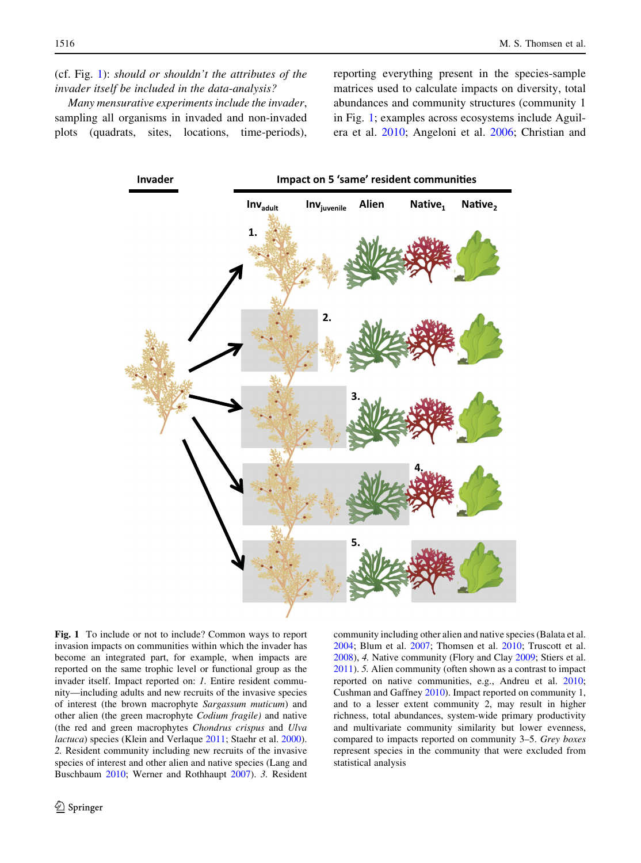<span id="page-1-0"></span>Many mensurative experiments include the invader, sampling all organisms in invaded and non-invaded plots (quadrats, sites, locations, time-periods), reporting everything present in the species-sample matrices used to calculate impacts on diversity, total abundances and community structures (community 1 in Fig. 1; examples across ecosystems include Aguilera et al. [2010;](#page-4-0) Angeloni et al. [2006;](#page-5-0) Christian and



Fig. 1 To include or not to include? Common ways to report invasion impacts on communities within which the invader has become an integrated part, for example, when impacts are reported on the same trophic level or functional group as the invader itself. Impact reported on: 1. Entire resident community—including adults and new recruits of the invasive species of interest (the brown macrophyte Sargassum muticum) and other alien (the green macrophyte Codium fragile) and native (the red and green macrophytes Chondrus crispus and Ulva lactuca) species (Klein and Verlaque [2011;](#page-5-0) Staehr et al. [2000](#page-6-0)). 2. Resident community including new recruits of the invasive species of interest and other alien and native species (Lang and Buschbaum [2010](#page-5-0); Werner and Rothhaupt [2007](#page-6-0)). 3. Resident community including other alien and native species (Balata et al. [2004;](#page-5-0) Blum et al. [2007](#page-5-0); Thomsen et al. [2010;](#page-6-0) Truscott et al. [2008\)](#page-6-0), 4. Native community (Flory and Clay [2009](#page-5-0); Stiers et al. [2011\)](#page-6-0). 5. Alien community (often shown as a contrast to impact reported on native communities, e.g., Andreu et al. [2010;](#page-5-0) Cushman and Gaffney [2010\)](#page-5-0). Impact reported on community 1, and to a lesser extent community 2, may result in higher richness, total abundances, system-wide primary productivity and multivariate community similarity but lower evenness, compared to impacts reported on community 3–5. Grey boxes represent species in the community that were excluded from statistical analysis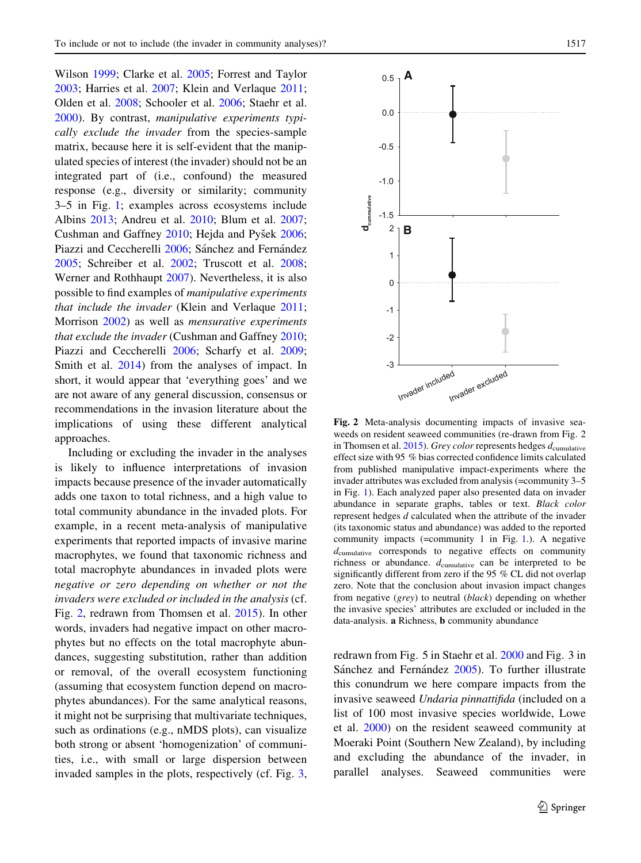Wilson [1999](#page-5-0); Clarke et al. [2005;](#page-5-0) Forrest and Taylor [2003;](#page-5-0) Harries et al. [2007;](#page-5-0) Klein and Verlaque [2011](#page-5-0); Olden et al. [2008](#page-5-0); Schooler et al. [2006;](#page-5-0) Staehr et al. [2000\)](#page-6-0). By contrast, manipulative experiments typically exclude the invader from the species-sample matrix, because here it is self-evident that the manipulated species of interest (the invader) should not be an integrated part of (i.e., confound) the measured response (e.g., diversity or similarity; community 3–5 in Fig. [1;](#page-1-0) examples across ecosystems include Albins [2013](#page-5-0); Andreu et al. [2010](#page-5-0); Blum et al. [2007](#page-5-0); Cushman and Gaffney [2010](#page-5-0); Hejda and Pyšek [2006](#page-5-0); Piazzi and Ceccherelli [2006;](#page-5-0) Sánchez and Fernández [2005;](#page-5-0) Schreiber et al. [2002;](#page-5-0) Truscott et al. [2008](#page-6-0); Werner and Rothhaupt [2007\)](#page-6-0). Nevertheless, it is also possible to find examples of manipulative experiments that include the invader (Klein and Verlaque [2011](#page-5-0); Morrison [2002\)](#page-5-0) as well as *mensurative experiments* that exclude the invader (Cushman and Gaffney [2010](#page-5-0); Piazzi and Ceccherelli [2006](#page-5-0); Scharfy et al. [2009](#page-5-0); Smith et al. [2014\)](#page-6-0) from the analyses of impact. In short, it would appear that 'everything goes' and we are not aware of any general discussion, consensus or recommendations in the invasion literature about the implications of using these different analytical approaches.

Including or excluding the invader in the analyses is likely to influence interpretations of invasion impacts because presence of the invader automatically adds one taxon to total richness, and a high value to total community abundance in the invaded plots. For example, in a recent meta-analysis of manipulative experiments that reported impacts of invasive marine macrophytes, we found that taxonomic richness and total macrophyte abundances in invaded plots were negative or zero depending on whether or not the invaders were excluded or included in the analysis (cf. Fig. 2, redrawn from Thomsen et al. [2015\)](#page-6-0). In other words, invaders had negative impact on other macrophytes but no effects on the total macrophyte abundances, suggesting substitution, rather than addition or removal, of the overall ecosystem functioning (assuming that ecosystem function depend on macrophytes abundances). For the same analytical reasons, it might not be surprising that multivariate techniques, such as ordinations (e.g., nMDS plots), can visualize both strong or absent 'homogenization' of communities, i.e., with small or large dispersion between invaded samples in the plots, respectively (cf. Fig. [3,](#page-3-0)



Fig. 2 Meta-analysis documenting impacts of invasive seaweeds on resident seaweed communities (re-drawn from Fig. 2 in Thomsen et al. [2015](#page-6-0)). Grey color represents hedges  $d_{\text{cumulative}}$ effect size with 95 % bias corrected confidence limits calculated from published manipulative impact-experiments where the invader attributes was excluded from analysis (=community 3–5 in Fig. [1](#page-1-0)). Each analyzed paper also presented data on invader abundance in separate graphs, tables or text. Black color represent hedges d calculated when the attribute of the invader (its taxonomic status and abundance) was added to the reported community impacts (=community 1 in Fig. [1.](#page-1-0)). A negative  $d_{\text{cumulative}}$  corresponds to negative effects on community richness or abundance.  $d_{cumulative}$  can be interpreted to be significantly different from zero if the 95 % CL did not overlap zero. Note that the conclusion about invasion impact changes from negative (grey) to neutral (black) depending on whether the invasive species' attributes are excluded or included in the data-analysis. a Richness, b community abundance

redrawn from Fig. 5 in Staehr et al. [2000](#page-6-0) and Fig. 3 in Sánchez and Fernández [2005\)](#page-5-0). To further illustrate this conundrum we here compare impacts from the invasive seaweed Undaria pinnattifida (included on a list of 100 most invasive species worldwide, Lowe et al. [2000](#page-5-0)) on the resident seaweed community at Moeraki Point (Southern New Zealand), by including and excluding the abundance of the invader, in parallel analyses. Seaweed communities were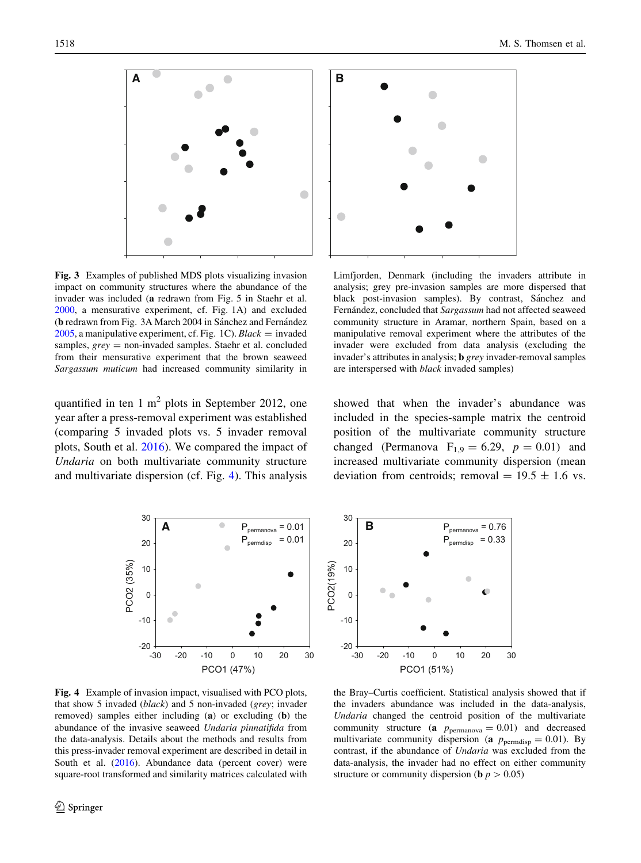<span id="page-3-0"></span>

Fig. 3 Examples of published MDS plots visualizing invasion impact on community structures where the abundance of the invader was included (a redrawn from Fig. 5 in Staehr et al. [2000,](#page-6-0) a mensurative experiment, cf. Fig. 1A) and excluded (b redrawn from Fig. 3A March 2004 in Sánchez and Fernández  $2005$ , a manipulative experiment, cf. Fig. 1C). Black = invaded samples,  $grey = non-invaded samples$ . Staehr et al. concluded from their mensurative experiment that the brown seaweed Sargassum muticum had increased community similarity in

quantified in ten 1  $m<sup>2</sup>$  plots in September 2012, one year after a press-removal experiment was established (comparing 5 invaded plots vs. 5 invader removal plots, South et al. [2016\)](#page-6-0). We compared the impact of Undaria on both multivariate community structure and multivariate dispersion (cf. Fig. 4). This analysis



Limfjorden, Denmark (including the invaders attribute in analysis; grey pre-invasion samples are more dispersed that black post-invasion samples). By contrast, Sánchez and Fernández, concluded that Sargassum had not affected seaweed community structure in Aramar, northern Spain, based on a manipulative removal experiment where the attributes of the invader were excluded from data analysis (excluding the invader's attributes in analysis; b grey invader-removal samples are interspersed with black invaded samples)

showed that when the invader's abundance was included in the species-sample matrix the centroid position of the multivariate community structure changed (Permanova  $F_{1,9} = 6.29$ ,  $p = 0.01$ ) and increased multivariate community dispersion (mean deviation from centroids; removal =  $19.5 \pm 1.6$  vs.

the Bray–Curtis coefficient. Statistical analysis showed that if the invaders abundance was included in the data-analysis, Undaria changed the centroid position of the multivariate





Fig. 4 Example of invasion impact, visualised with PCO plots, that show 5 invaded (black) and 5 non-invaded (grey; invader removed) samples either including (a) or excluding (b) the abundance of the invasive seaweed Undaria pinnatifida from the data-analysis. Details about the methods and results from this press-invader removal experiment are described in detail in South et al. ([2016\)](#page-6-0). Abundance data (percent cover) were square-root transformed and similarity matrices calculated with

community structure (a  $p_{\text{permanova}} = 0.01$ ) and decreased multivariate community dispersion (a  $p_{\text{permdisp}} = 0.01$ ). By contrast, if the abundance of Undaria was excluded from the data-analysis, the invader had no effect on either community structure or community dispersion (**b**  $p > 0.05$ )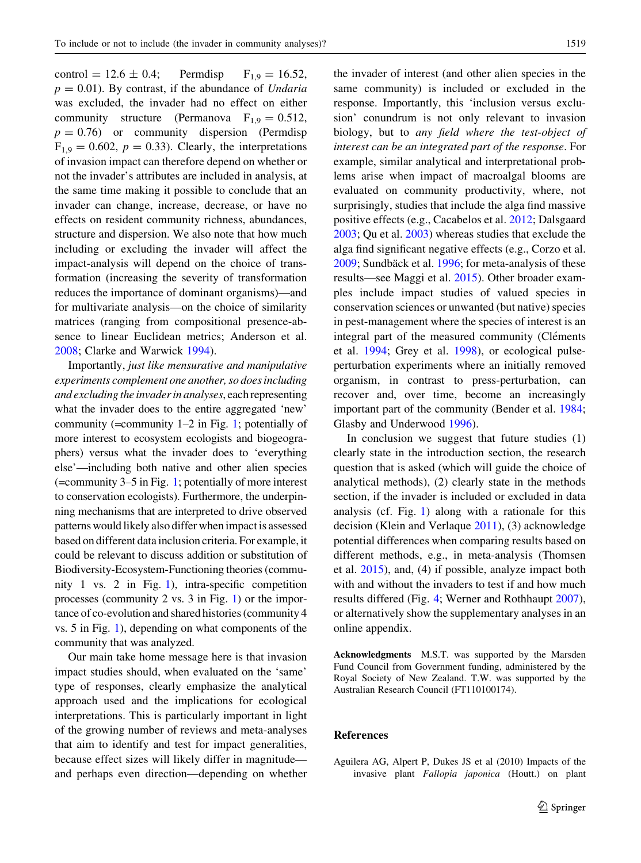<span id="page-4-0"></span>control = 12.6  $\pm$  0.4; Permdisp F<sub>1.9</sub> = 16.52,  $p = 0.01$ ). By contrast, if the abundance of *Undaria* was excluded, the invader had no effect on either community structure (Permanova  $F_{1,9} = 0.512$ ,  $p = 0.76$ ) or community dispersion (Permdisp  $F_{1,9} = 0.602$ ,  $p = 0.33$ ). Clearly, the interpretations of invasion impact can therefore depend on whether or not the invader's attributes are included in analysis, at the same time making it possible to conclude that an invader can change, increase, decrease, or have no effects on resident community richness, abundances, structure and dispersion. We also note that how much including or excluding the invader will affect the impact-analysis will depend on the choice of transformation (increasing the severity of transformation reduces the importance of dominant organisms)—and for multivariate analysis—on the choice of similarity matrices (ranging from compositional presence-absence to linear Euclidean metrics; Anderson et al. [2008;](#page-5-0) Clarke and Warwick [1994](#page-5-0)).

Importantly, just like mensurative and manipulative experiments complement one another, so does including and excluding the invader in analyses, each representing what the invader does to the entire aggregated 'new' community (=community 1–2 in Fig. [1](#page-1-0); potentially of more interest to ecosystem ecologists and biogeographers) versus what the invader does to 'everything else'—including both native and other alien species (=community 3–5 in Fig. [1](#page-1-0); potentially of more interest to conservation ecologists). Furthermore, the underpinning mechanisms that are interpreted to drive observed patterns would likely also differ when impact is assessed based on different data inclusion criteria. For example, it could be relevant to discuss addition or substitution of Biodiversity-Ecosystem-Functioning theories (community 1 vs. 2 in Fig. [1\)](#page-1-0), intra-specific competition processes (community 2 vs. 3 in Fig. [1\)](#page-1-0) or the importance of co-evolution and shared histories (community 4 vs. 5 in Fig. [1](#page-1-0)), depending on what components of the community that was analyzed.

Our main take home message here is that invasion impact studies should, when evaluated on the 'same' type of responses, clearly emphasize the analytical approach used and the implications for ecological interpretations. This is particularly important in light of the growing number of reviews and meta-analyses that aim to identify and test for impact generalities, because effect sizes will likely differ in magnitude and perhaps even direction—depending on whether the invader of interest (and other alien species in the same community) is included or excluded in the response. Importantly, this 'inclusion versus exclusion' conundrum is not only relevant to invasion biology, but to any field where the test-object of interest can be an integrated part of the response. For example, similar analytical and interpretational problems arise when impact of macroalgal blooms are evaluated on community productivity, where, not surprisingly, studies that include the alga find massive positive effects (e.g., Cacabelos et al. [2012;](#page-5-0) Dalsgaard [2003;](#page-5-0) Qu et al. [2003](#page-5-0)) whereas studies that exclude the alga find significant negative effects (e.g., Corzo et al. [2009;](#page-5-0) Sundbäck et al. [1996;](#page-6-0) for meta-analysis of these results—see Maggi et al. [2015\)](#page-5-0). Other broader examples include impact studies of valued species in conservation sciences or unwanted (but native) species in pest-management where the species of interest is an integral part of the measured community (Cléments et al. [1994;](#page-5-0) Grey et al. [1998\)](#page-5-0), or ecological pulseperturbation experiments where an initially removed organism, in contrast to press-perturbation, can recover and, over time, become an increasingly important part of the community (Bender et al. [1984](#page-5-0); Glasby and Underwood [1996](#page-5-0)).

In conclusion we suggest that future studies (1) clearly state in the introduction section, the research question that is asked (which will guide the choice of analytical methods), (2) clearly state in the methods section, if the invader is included or excluded in data analysis (cf. Fig. [1\)](#page-1-0) along with a rationale for this decision (Klein and Verlaque [2011](#page-5-0)), (3) acknowledge potential differences when comparing results based on different methods, e.g., in meta-analysis (Thomsen et al. [2015\)](#page-6-0), and, (4) if possible, analyze impact both with and without the invaders to test if and how much results differed (Fig. [4](#page-3-0); Werner and Rothhaupt [2007](#page-6-0)), or alternatively show the supplementary analyses in an online appendix.

Acknowledgments M.S.T. was supported by the Marsden Fund Council from Government funding, administered by the Royal Society of New Zealand. T.W. was supported by the Australian Research Council (FT110100174).

## References

Aguilera AG, Alpert P, Dukes JS et al (2010) Impacts of the invasive plant Fallopia japonica (Houtt.) on plant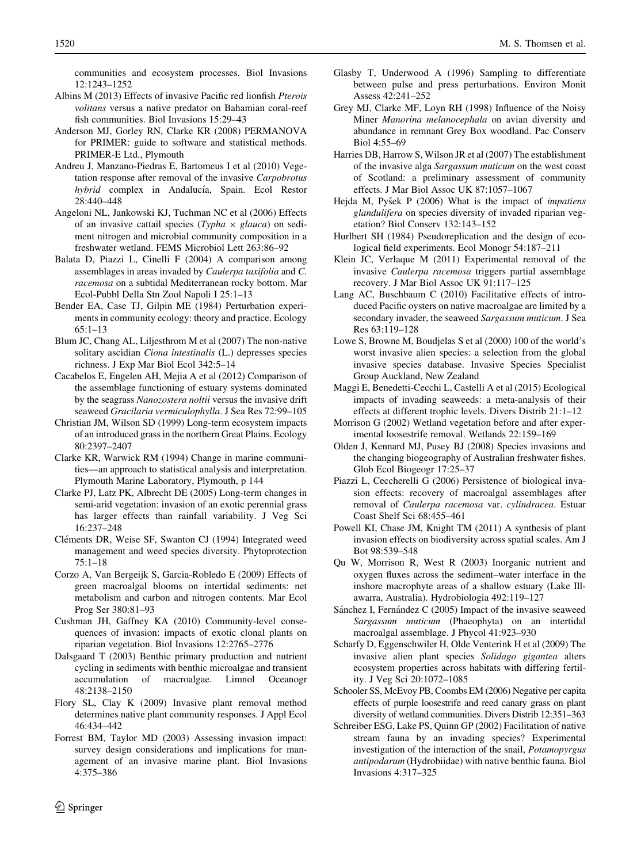<span id="page-5-0"></span>communities and ecosystem processes. Biol Invasions 12:1243–1252

- Albins M (2013) Effects of invasive Pacific red lionfish Pterois volitans versus a native predator on Bahamian coral-reef fish communities. Biol Invasions 15:29–43
- Anderson MJ, Gorley RN, Clarke KR (2008) PERMANOVA for PRIMER: guide to software and statistical methods. PRIMER-E Ltd., Plymouth
- Andreu J, Manzano-Piedras E, Bartomeus I et al (2010) Vegetation response after removal of the invasive Carpobrotus hybrid complex in Andalucía, Spain. Ecol Restor 28:440–448
- Angeloni NL, Jankowski KJ, Tuchman NC et al (2006) Effects of an invasive cattail species (Typha  $\times$  glauca) on sediment nitrogen and microbial community composition in a freshwater wetland. FEMS Microbiol Lett 263:86–92
- Balata D, Piazzi L, Cinelli F (2004) A comparison among assemblages in areas invaded by Caulerpa taxifolia and C. racemosa on a subtidal Mediterranean rocky bottom. Mar Ecol-Pubbl Della Stn Zool Napoli I 25:1–13
- Bender EA, Case TJ, Gilpin ME (1984) Perturbation experiments in community ecology: theory and practice. Ecology 65:1–13
- Blum JC, Chang AL, Liljesthrom M et al (2007) The non-native solitary ascidian *Ciona intestinalis* (L.) depresses species richness. J Exp Mar Biol Ecol 342:5–14
- Cacabelos E, Engelen AH, Mejia A et al (2012) Comparison of the assemblage functioning of estuary systems dominated by the seagrass Nanozostera noltii versus the invasive drift seaweed Gracilaria vermiculophylla. J Sea Res 72:99–105
- Christian JM, Wilson SD (1999) Long-term ecosystem impacts of an introduced grass in the northern Great Plains. Ecology 80:2397–2407
- Clarke KR, Warwick RM (1994) Change in marine communities—an approach to statistical analysis and interpretation. Plymouth Marine Laboratory, Plymouth, p 144
- Clarke PJ, Latz PK, Albrecht DE (2005) Long-term changes in semi-arid vegetation: invasion of an exotic perennial grass has larger effects than rainfall variability. J Veg Sci 16:237–248
- Cléments DR, Weise SF, Swanton CJ (1994) Integrated weed management and weed species diversity. Phytoprotection 75:1–18
- Corzo A, Van Bergeijk S, Garcia-Robledo E (2009) Effects of green macroalgal blooms on intertidal sediments: net metabolism and carbon and nitrogen contents. Mar Ecol Prog Ser 380:81–93
- Cushman JH, Gaffney KA (2010) Community-level consequences of invasion: impacts of exotic clonal plants on riparian vegetation. Biol Invasions 12:2765–2776
- Dalsgaard T (2003) Benthic primary production and nutrient cycling in sediments with benthic microalgae and transient accumulation of macroalgae. Limnol Oceanogr 48:2138–2150
- Flory SL, Clay K (2009) Invasive plant removal method determines native plant community responses. J Appl Ecol 46:434–442
- Forrest BM, Taylor MD (2003) Assessing invasion impact: survey design considerations and implications for management of an invasive marine plant. Biol Invasions 4:375–386
- Glasby T, Underwood A (1996) Sampling to differentiate between pulse and press perturbations. Environ Monit Assess 42:241–252
- Grey MJ, Clarke MF, Loyn RH (1998) Influence of the Noisy Miner Manorina melanocephala on avian diversity and abundance in remnant Grey Box woodland. Pac Conserv Biol 4:55–69
- Harries DB, Harrow S, Wilson JR et al (2007) The establishment of the invasive alga Sargassum muticum on the west coast of Scotland: a preliminary assessment of community effects. J Mar Biol Assoc UK 87:1057–1067
- Hejda M, Pyšek P  $(2006)$  What is the impact of *impatiens* glandulifera on species diversity of invaded riparian vegetation? Biol Conserv 132:143–152
- Hurlbert SH (1984) Pseudoreplication and the design of ecological field experiments. Ecol Monogr 54:187–211
- Klein JC, Verlaque M (2011) Experimental removal of the invasive Caulerpa racemosa triggers partial assemblage recovery. J Mar Biol Assoc UK 91:117–125
- Lang AC, Buschbaum C (2010) Facilitative effects of introduced Pacific oysters on native macroalgae are limited by a secondary invader, the seaweed Sargassum muticum. J Sea Res 63:119–128
- Lowe S, Browne M, Boudjelas S et al (2000) 100 of the world's worst invasive alien species: a selection from the global invasive species database. Invasive Species Specialist Group Auckland, New Zealand
- Maggi E, Benedetti-Cecchi L, Castelli A et al (2015) Ecological impacts of invading seaweeds: a meta-analysis of their effects at different trophic levels. Divers Distrib 21:1–12
- Morrison G (2002) Wetland vegetation before and after experimental loosestrife removal. Wetlands 22:159–169
- Olden J, Kennard MJ, Pusey BJ (2008) Species invasions and the changing biogeography of Australian freshwater fishes. Glob Ecol Biogeogr 17:25–37
- Piazzi L, Ceccherelli G (2006) Persistence of biological invasion effects: recovery of macroalgal assemblages after removal of Caulerpa racemosa var. cylindracea. Estuar Coast Shelf Sci 68:455–461
- Powell KI, Chase JM, Knight TM (2011) A synthesis of plant invasion effects on biodiversity across spatial scales. Am J Bot 98:539–548
- Qu W, Morrison R, West R (2003) Inorganic nutrient and oxygen fluxes across the sediment–water interface in the inshore macrophyte areas of a shallow estuary (Lake Illawarra, Australia). Hydrobiologia 492:119–127
- Sánchez I, Fernández C (2005) Impact of the invasive seaweed Sargassum muticum (Phaeophyta) on an intertidal macroalgal assemblage. J Phycol 41:923–930
- Scharfy D, Eggenschwiler H, Olde Venterink H et al (2009) The invasive alien plant species Solidago gigantea alters ecosystem properties across habitats with differing fertility. J Veg Sci 20:1072–1085
- Schooler SS, McEvoy PB, Coombs EM (2006) Negative per capita effects of purple loosestrife and reed canary grass on plant diversity of wetland communities. Divers Distrib 12:351–363
- Schreiber ESG, Lake PS, Quinn GP (2002) Facilitation of native stream fauna by an invading species? Experimental investigation of the interaction of the snail, Potamopyrgus antipodarum (Hydrobiidae) with native benthic fauna. Biol Invasions 4:317–325